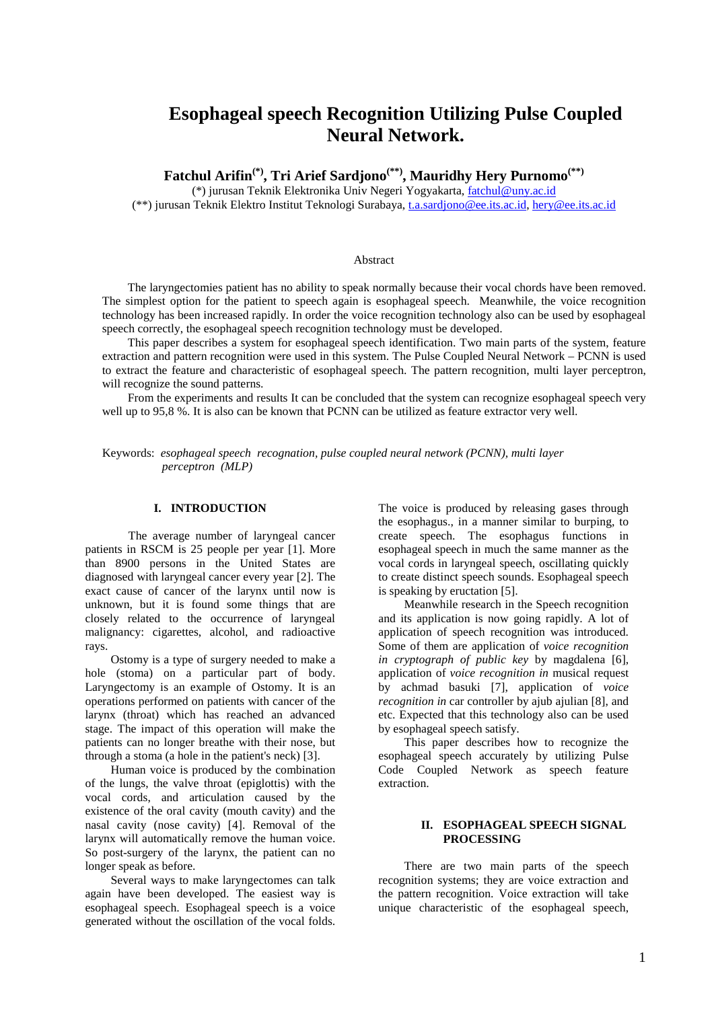# **Esophageal speech Recognition Utilizing Pulse Coupled Neural Network.**

**Fatchul Arifin(\*), Tri Arief Sardjono(\*\*), Mauridhy Hery Purnomo(\*\*)**

(\*) jurusan Teknik Elektronika Univ Negeri Yogyakarta, fatchul@uny.ac.id

(\*\*) jurusan Teknik Elektro Institut Teknologi Surabaya, t.a.sardjono@ee.its.ac.id, hery@ee.its.ac.id

# Abstract

The laryngectomies patient has no ability to speak normally because their vocal chords have been removed. The simplest option for the patient to speech again is esophageal speech. Meanwhile, the voice recognition technology has been increased rapidly. In order the voice recognition technology also can be used by esophageal speech correctly, the esophageal speech recognition technology must be developed.

This paper describes a system for esophageal speech identification. Two main parts of the system, feature extraction and pattern recognition were used in this system. The Pulse Coupled Neural Network – PCNN is used to extract the feature and characteristic of esophageal speech. The pattern recognition, multi layer perceptron, will recognize the sound patterns.

From the experiments and results It can be concluded that the system can recognize esophageal speech very well up to 95,8 %. It is also can be known that PCNN can be utilized as feature extractor very well.

Keywords: *esophageal speech recognation, pulse coupled neural network (PCNN), multi layer perceptron (MLP)*

# **I. INTRODUCTION**

The average number of laryngeal cancer patients in RSCM is 25 people per year [1]. More than 8900 persons in the United States are diagnosed with laryngeal cancer every year [2]. The exact cause of cancer of the larynx until now is unknown, but it is found some things that are closely related to the occurrence of laryngeal malignancy: cigarettes, alcohol, and radioactive rays.

Ostomy is a type of surgery needed to make a hole (stoma) on a particular part of body. Laryngectomy is an example of Ostomy. It is an operations performed on patients with cancer of the larynx (throat) which has reached an advanced stage. The impact of this operation will make the patients can no longer breathe with their nose, but through a stoma (a hole in the patient's neck) [3].

Human voice is produced by the combination of the lungs, the valve throat (epiglottis) with the vocal cords, and articulation caused by the existence of the oral cavity (mouth cavity) and the nasal cavity (nose cavity) [4]. Removal of the larynx will automatically remove the human voice. So post-surgery of the larynx, the patient can no longer speak as before.

Several ways to make laryngectomes can talk again have been developed. The easiest way is esophageal speech. Esophageal speech is a voice generated without the oscillation of the vocal folds. The voice is produced by releasing gases through the esophagus., in a manner similar to burping, to create speech. The esophagus functions in esophageal speech in much the same manner as the vocal cords in laryngeal speech, oscillating quickly to create distinct speech sounds. Esophageal speech is speaking by eructation [5].

Meanwhile research in the Speech recognition and its application is now going rapidly. A lot of application of speech recognition was introduced. Some of them are application of *voice recognition in cryptograph of public key* by magdalena [6], application of *voice recognition in* musical request by achmad basuki [7], application of *voice recognition in* car controller by ajub ajulian [8], and etc. Expected that this technology also can be used by esophageal speech satisfy.

This paper describes how to recognize the esophageal speech accurately by utilizing Pulse Code Coupled Network as speech feature extraction.

# **II. ESOPHAGEAL SPEECH SIGNAL PROCESSING**

There are two main parts of the speech recognition systems; they are voice extraction and the pattern recognition. Voice extraction will take unique characteristic of the esophageal speech,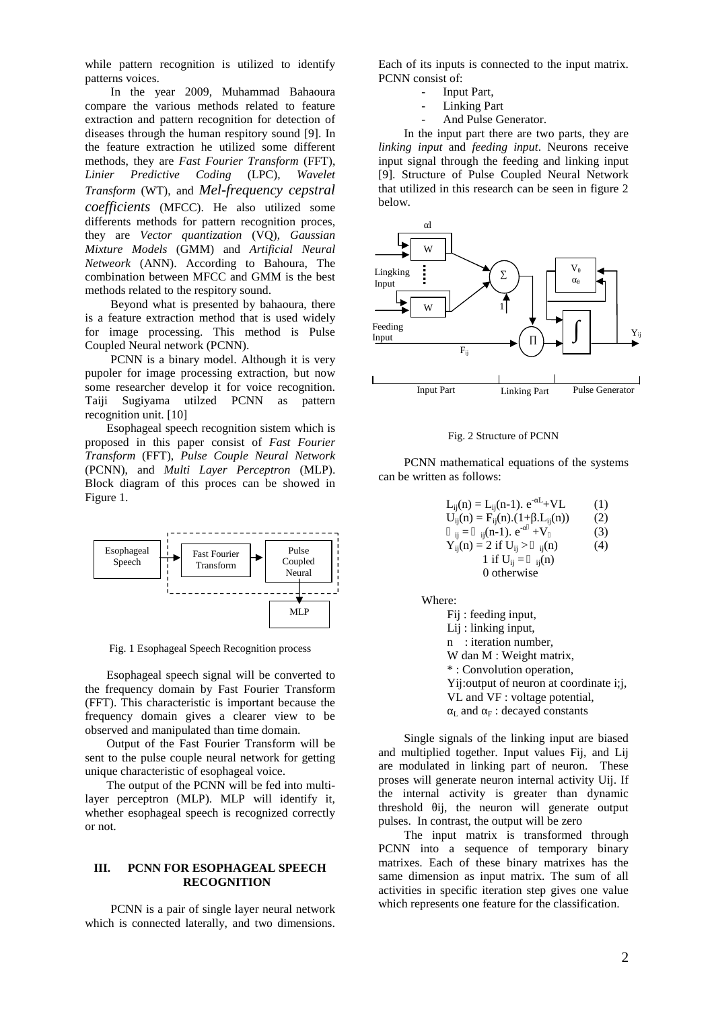while pattern recognition is utilized to identify patterns voices.

In the year 2009, Muhammad Bahaoura compare the various methods related to feature extraction and pattern recognition for detection of diseases through the human respitory sound [9]. In the feature extraction he utilized some different methods, they are *Fast Fourier Transform* (FFT), *Linier Predictive Coding* (LPC), *Wavelet Transform* (WT), and *Mel-frequency cepstral coefficients* (MFCC). He also utilized some differents methods for pattern recognition proces, they are *Vector quantization* (VQ), *Gaussian Mixture Models* (GMM) and *Artificial Neural Netweork* (ANN). According to Bahoura, The combination between MFCC and GMM is the best methods related to the respitory sound.

Beyond what is presented by bahaoura, there is a feature extraction method that is used widely for image processing. This method is Pulse Coupled Neural network (PCNN).

PCNN is a binary model. Although it is very pupoler for image processing extraction, but now some researcher develop it for voice recognition. Taiji Sugiyama utilzed PCNN as pattern recognition unit. [10]

Esophageal speech recognition sistem which is proposed in this paper consist of *Fast Fourier Transform* (FFT), *Pulse Couple Neural Network* (PCNN), and *Multi Layer Perceptron* (MLP). Block diagram of this proces can be showed in Figure 1.



Fig. 1 Esophageal Speech Recognition process

Esophageal speech signal will be converted to the frequency domain by Fast Fourier Transform (FFT). This characteristic is important because the frequency domain gives a clearer view to be observed and manipulated than time domain.

Output of the Fast Fourier Transform will be sent to the pulse couple neural network for getting unique characteristic of esophageal voice.

The output of the PCNN will be fed into multilayer perceptron (MLP). MLP will identify it, whether esophageal speech is recognized correctly or not.

### **III. PCNN FOR ESOPHAGEAL SPEECH RECOGNITION**

PCNN is a pair of single layer neural network which is connected laterally, and two dimensions. Each of its inputs is connected to the input matrix. PCNN consist of:

- Input Part,
- Linking Part
- And Pulse Generator.

In the input part there are two parts, they are *linking input* and *feeding input*. Neurons receive input signal through the feeding and linking input [9]. Structure of Pulse Coupled Neural Network that utilized in this research can be seen in figure 2 below.



#### Fig. 2 Structure of PCNN

PCNN mathematical equations of the systems can be written as follows:

| $L_{ij}(n) = L_{ij}(n-1)$ . $e^{-L} + VL$           | (1) |
|-----------------------------------------------------|-----|
| $U_{ii}(n) = F_{ii}(n) \cdot (1 + \dots L_{ii}(n))$ | (2) |
| $_{ii} =$ $_{ii}$ (n-1). $e^-$ +V                   | (3) |
| $Y_{ii}(n) = 2$ if $U_{ii} >$ $_{ii}(n)$            | (4) |
| 1 if $U_{ii} =$ $_{ii}(n)$                          |     |
| 0 otherwise                                         |     |
|                                                     |     |

Where:

Fij : feeding input, Lij : linking input, n : iteration number, W dan M : Weight matrix, \* : Convolution operation, Yij:output of neuron at coordinate i;j, VL and VF : voltage potential,  $L$  and  $F$  : decayed constants

Single signals of the linking input are biased and multiplied together. Input values Fij, and Lij are modulated in linking part of neuron. These proses will generate neuron internal activity Uij. If the internal activity is greater than dynamic threshold ij, the neuron will generate output pulses. In contrast, the output will be zero

The input matrix is transformed through PCNN into a sequence of temporary binary matrixes. Each of these binary matrixes has the same dimension as input matrix. The sum of all activities in specific iteration step gives one value which represents one feature for the classification.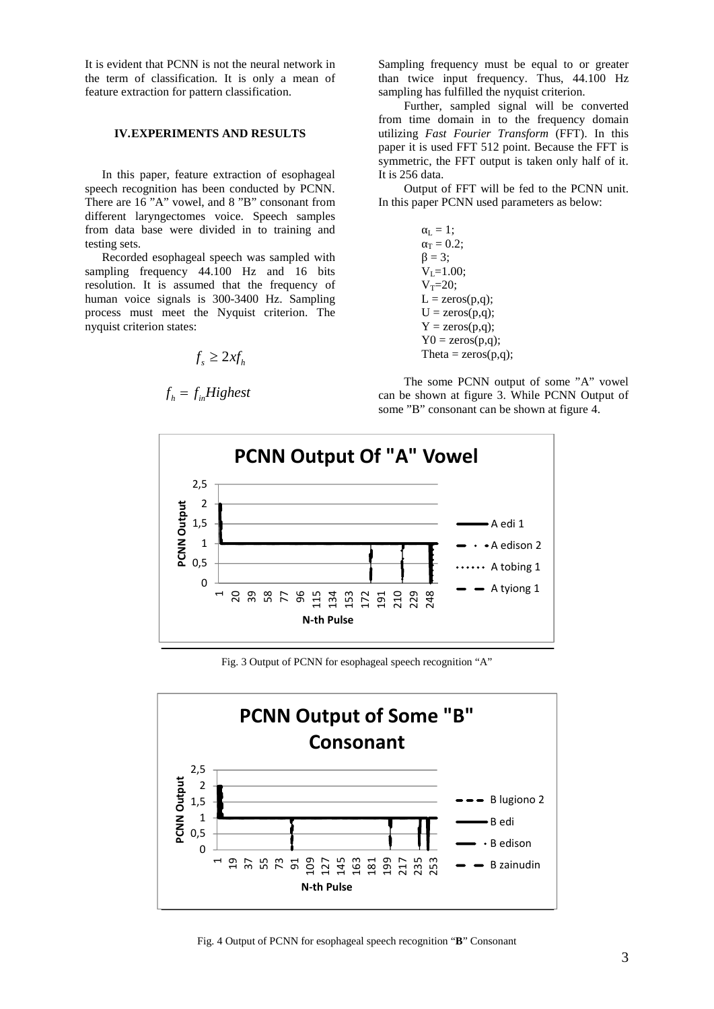It is evident that PCNN is not the neural network in the term of classification. It is only a mean of feature extraction for pattern classification.

# **IV.EXPERIMENTS AND RESULTS**

In this paper, feature extraction of esophageal speech recognition has been conducted by PCNN. There are 16 "A" vowel, and 8 "B" consonant from different laryngectomes voice. Speech samples from data base were divided in to training and testing sets.

Recorded esophageal speech was sampled with sampling frequency 44.100 Hz and 16 bits resolution. It is assumed that the frequency of human voice signals is 300-3400 Hz. Sampling process must meet the Nyquist criterion. The nyquist criterion states:

$$
f_s \ge 2xf_h \qquad \qquad \text{Theta} =
$$

$$
f_h = f_{in} Highest
$$

Sampling frequency must be equal to or greater than twice input frequency. Thus, 44.100 Hz sampling has fulfilled the nyquist criterion.

Further, sampled signal will be converted from time domain in to the frequency domain utilizing *Fast Fourier Transform* (FFT). In this paper it is used FFT 512 point. Because the FFT is symmetric, the FFT output is taken only half of it. It is 256 data.

Output of FFT will be fed to the PCNN unit. In this paper PCNN used parameters as below:

> $_{\rm L} = 1$ ;  $T = 0.2$ ;  $= 3$ ;  $V_1 = 1.00$ ;  $V_T = 20;$  $L = zeros(p,q);$  $U = \text{zeros}(p,q)$ ;  $Y = zeros(p,q);$  $Y0 = zeros(p,q);$ Theta =  $zeros(p,q)$ ;

The some PCNN output of some "A" vowel can be shown at figure 3. While PCNN Output of some "B" consonant can be shown at figure 4.



Fig. 3 Output of PCNN for esophageal speech recognition "A"



Fig. 4 Output of PCNN for esophageal speech recognition "**B**" Consonant